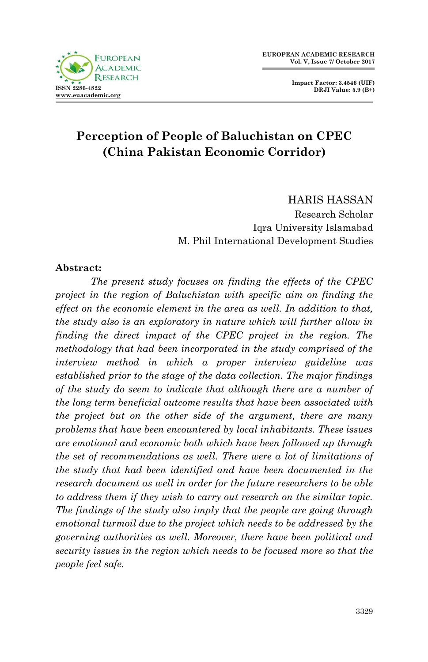



# **Perception of People of Baluchistan on CPEC (China Pakistan Economic Corridor)**

HARIS HASSAN Research Scholar Iqra University Islamabad M. Phil International Development Studies

#### **Abstract:**

*The present study focuses on finding the effects of the CPEC project in the region of Baluchistan with specific aim on finding the effect on the economic element in the area as well. In addition to that, the study also is an exploratory in nature which will further allow in finding the direct impact of the CPEC project in the region. The methodology that had been incorporated in the study comprised of the interview method in which a proper interview guideline was established prior to the stage of the data collection. The major findings of the study do seem to indicate that although there are a number of the long term beneficial outcome results that have been associated with the project but on the other side of the argument, there are many problems that have been encountered by local inhabitants. These issues are emotional and economic both which have been followed up through the set of recommendations as well. There were a lot of limitations of the study that had been identified and have been documented in the research document as well in order for the future researchers to be able to address them if they wish to carry out research on the similar topic. The findings of the study also imply that the people are going through emotional turmoil due to the project which needs to be addressed by the governing authorities as well. Moreover, there have been political and security issues in the region which needs to be focused more so that the people feel safe.*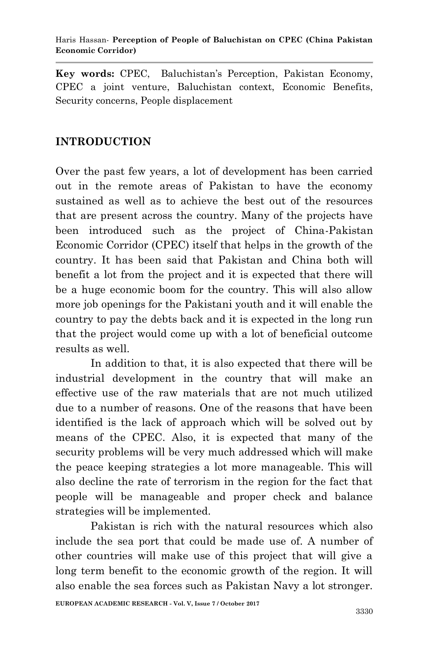**Key words:** CPEC, Baluchistan"s Perception, Pakistan Economy, CPEC a joint venture, Baluchistan context, Economic Benefits, Security concerns, People displacement

## **INTRODUCTION**

Over the past few years, a lot of development has been carried out in the remote areas of Pakistan to have the economy sustained as well as to achieve the best out of the resources that are present across the country. Many of the projects have been introduced such as the project of China-Pakistan Economic Corridor (CPEC) itself that helps in the growth of the country. It has been said that Pakistan and China both will benefit a lot from the project and it is expected that there will be a huge economic boom for the country. This will also allow more job openings for the Pakistani youth and it will enable the country to pay the debts back and it is expected in the long run that the project would come up with a lot of beneficial outcome results as well.

In addition to that, it is also expected that there will be industrial development in the country that will make an effective use of the raw materials that are not much utilized due to a number of reasons. One of the reasons that have been identified is the lack of approach which will be solved out by means of the CPEC. Also, it is expected that many of the security problems will be very much addressed which will make the peace keeping strategies a lot more manageable. This will also decline the rate of terrorism in the region for the fact that people will be manageable and proper check and balance strategies will be implemented.

Pakistan is rich with the natural resources which also include the sea port that could be made use of. A number of other countries will make use of this project that will give a long term benefit to the economic growth of the region. It will also enable the sea forces such as Pakistan Navy a lot stronger.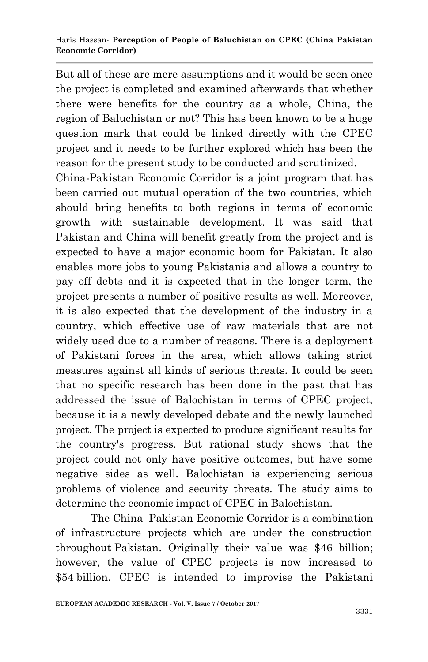But all of these are mere assumptions and it would be seen once the project is completed and examined afterwards that whether there were benefits for the country as a whole, China, the region of Baluchistan or not? This has been known to be a huge question mark that could be linked directly with the CPEC project and it needs to be further explored which has been the reason for the present study to be conducted and scrutinized.

China-Pakistan Economic Corridor is a joint program that has been carried out mutual operation of the two countries, which should bring benefits to both regions in terms of economic growth with sustainable development. It was said that Pakistan and China will benefit greatly from the project and is expected to have a major economic boom for Pakistan. It also enables more jobs to young Pakistanis and allows a country to pay off debts and it is expected that in the longer term, the project presents a number of positive results as well. Moreover, it is also expected that the development of the industry in a country, which effective use of raw materials that are not widely used due to a number of reasons. There is a deployment of Pakistani forces in the area, which allows taking strict measures against all kinds of serious threats. It could be seen that no specific research has been done in the past that has addressed the issue of Balochistan in terms of CPEC project, because it is a newly developed debate and the newly launched project. The project is expected to produce significant results for the country's progress. But rational study shows that the project could not only have positive outcomes, but have some negative sides as well. Balochistan is experiencing serious problems of violence and security threats. The study aims to determine the economic impact of CPEC in Balochistan.

The China–Pakistan Economic Corridor is a combination of infrastructure projects which are under the construction throughout Pakistan. Originally their value was \$46 billion; however, the value of CPEC projects is now increased to \$54 billion. CPEC is intended to improvise the Pakistani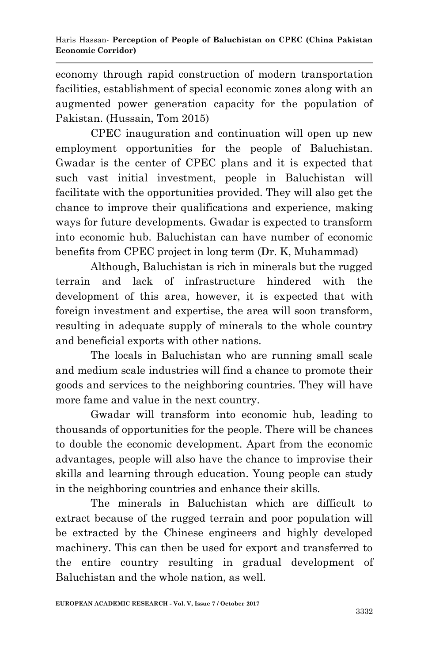economy through rapid construction of modern transportation facilities, establishment of special economic zones along with an augmented power generation capacity for the population of Pakistan. (Hussain, Tom 2015)

CPEC inauguration and continuation will open up new employment opportunities for the people of Baluchistan. Gwadar is the center of CPEC plans and it is expected that such vast initial investment, people in Baluchistan will facilitate with the opportunities provided. They will also get the chance to improve their qualifications and experience, making ways for future developments. Gwadar is expected to transform into economic hub. Baluchistan can have number of economic benefits from CPEC project in long term (Dr. K, Muhammad)

Although, Baluchistan is rich in minerals but the rugged terrain and lack of infrastructure hindered with the development of this area, however, it is expected that with foreign investment and expertise, the area will soon transform, resulting in adequate supply of minerals to the whole country and beneficial exports with other nations.

The locals in Baluchistan who are running small scale and medium scale industries will find a chance to promote their goods and services to the neighboring countries. They will have more fame and value in the next country.

Gwadar will transform into economic hub, leading to thousands of opportunities for the people. There will be chances to double the economic development. Apart from the economic advantages, people will also have the chance to improvise their skills and learning through education. Young people can study in the neighboring countries and enhance their skills.

The minerals in Baluchistan which are difficult to extract because of the rugged terrain and poor population will be extracted by the Chinese engineers and highly developed machinery. This can then be used for export and transferred to the entire country resulting in gradual development of Baluchistan and the whole nation, as well.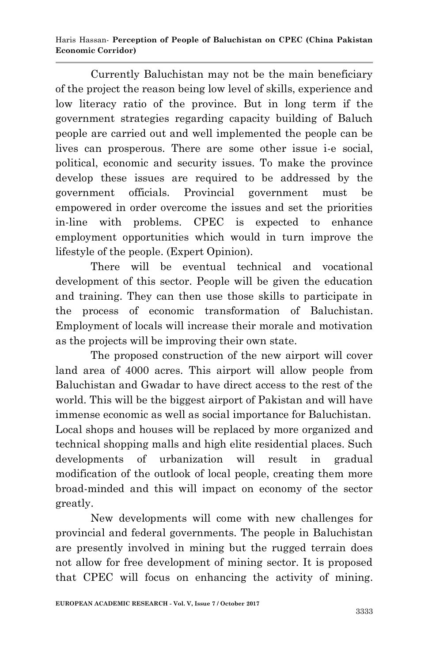Haris Hassan*-* **Perception of People of Baluchistan on CPEC (China Pakistan Economic Corridor)**

Currently Baluchistan may not be the main beneficiary of the project the reason being low level of skills, experience and low literacy ratio of the province. But in long term if the government strategies regarding capacity building of Baluch people are carried out and well implemented the people can be lives can prosperous. There are some other issue i-e social, political, economic and security issues. To make the province develop these issues are required to be addressed by the government officials. Provincial government must be empowered in order overcome the issues and set the priorities in-line with problems. CPEC is expected to enhance employment opportunities which would in turn improve the lifestyle of the people. (Expert Opinion).

There will be eventual technical and vocational development of this sector. People will be given the education and training. They can then use those skills to participate in the process of economic transformation of Baluchistan. Employment of locals will increase their morale and motivation as the projects will be improving their own state.

The proposed construction of the new airport will cover land area of 4000 acres. This airport will allow people from Baluchistan and Gwadar to have direct access to the rest of the world. This will be the biggest airport of Pakistan and will have immense economic as well as social importance for Baluchistan. Local shops and houses will be replaced by more organized and technical shopping malls and high elite residential places. Such developments of urbanization will result in gradual modification of the outlook of local people, creating them more broad-minded and this will impact on economy of the sector greatly.

New developments will come with new challenges for provincial and federal governments. The people in Baluchistan are presently involved in mining but the rugged terrain does not allow for free development of mining sector. It is proposed that CPEC will focus on enhancing the activity of mining.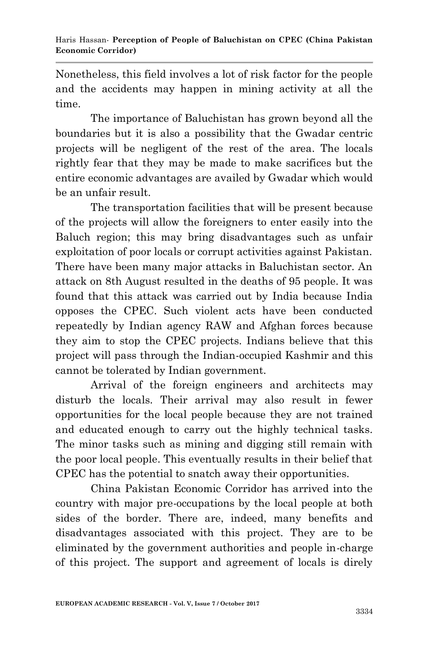Nonetheless, this field involves a lot of risk factor for the people and the accidents may happen in mining activity at all the time.

The importance of Baluchistan has grown beyond all the boundaries but it is also a possibility that the Gwadar centric projects will be negligent of the rest of the area. The locals rightly fear that they may be made to make sacrifices but the entire economic advantages are availed by Gwadar which would be an unfair result.

The transportation facilities that will be present because of the projects will allow the foreigners to enter easily into the Baluch region; this may bring disadvantages such as unfair exploitation of poor locals or corrupt activities against Pakistan. There have been many major attacks in Baluchistan sector. An attack on 8th August resulted in the deaths of 95 people. It was found that this attack was carried out by India because India opposes the CPEC. Such violent acts have been conducted repeatedly by Indian agency RAW and Afghan forces because they aim to stop the CPEC projects. Indians believe that this project will pass through the Indian-occupied Kashmir and this cannot be tolerated by Indian government.

Arrival of the foreign engineers and architects may disturb the locals. Their arrival may also result in fewer opportunities for the local people because they are not trained and educated enough to carry out the highly technical tasks. The minor tasks such as mining and digging still remain with the poor local people. This eventually results in their belief that CPEC has the potential to snatch away their opportunities.

China Pakistan Economic Corridor has arrived into the country with major pre-occupations by the local people at both sides of the border. There are, indeed, many benefits and disadvantages associated with this project. They are to be eliminated by the government authorities and people in-charge of this project. The support and agreement of locals is direly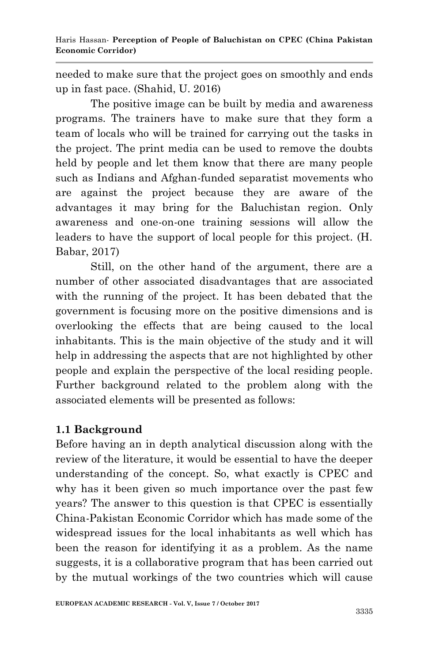needed to make sure that the project goes on smoothly and ends up in fast pace. (Shahid, U. 2016)

The positive image can be built by media and awareness programs. The trainers have to make sure that they form a team of locals who will be trained for carrying out the tasks in the project. The print media can be used to remove the doubts held by people and let them know that there are many people such as Indians and Afghan-funded separatist movements who are against the project because they are aware of the advantages it may bring for the Baluchistan region. Only awareness and one-on-one training sessions will allow the leaders to have the support of local people for this project. (H. Babar, 2017)

Still, on the other hand of the argument, there are a number of other associated disadvantages that are associated with the running of the project. It has been debated that the government is focusing more on the positive dimensions and is overlooking the effects that are being caused to the local inhabitants. This is the main objective of the study and it will help in addressing the aspects that are not highlighted by other people and explain the perspective of the local residing people. Further background related to the problem along with the associated elements will be presented as follows:

#### **1.1 Background**

Before having an in depth analytical discussion along with the review of the literature, it would be essential to have the deeper understanding of the concept. So, what exactly is CPEC and why has it been given so much importance over the past few years? The answer to this question is that CPEC is essentially China-Pakistan Economic Corridor which has made some of the widespread issues for the local inhabitants as well which has been the reason for identifying it as a problem. As the name suggests, it is a collaborative program that has been carried out by the mutual workings of the two countries which will cause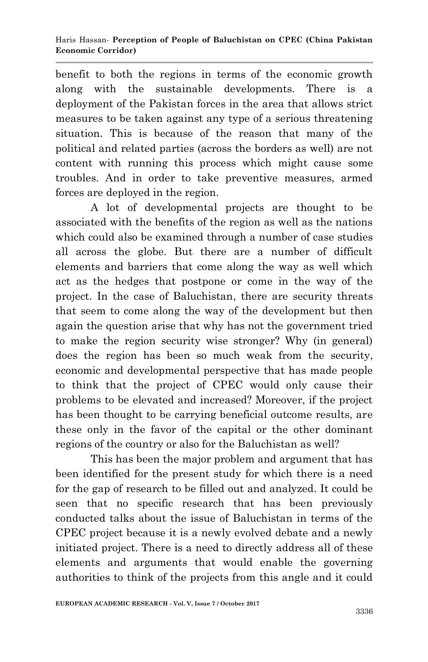benefit to both the regions in terms of the economic growth along with the sustainable developments. There is a deployment of the Pakistan forces in the area that allows strict measures to be taken against any type of a serious threatening situation. This is because of the reason that many of the political and related parties (across the borders as well) are not content with running this process which might cause some troubles. And in order to take preventive measures, armed forces are deployed in the region.

A lot of developmental projects are thought to be associated with the benefits of the region as well as the nations which could also be examined through a number of case studies all across the globe. But there are a number of difficult elements and barriers that come along the way as well which act as the hedges that postpone or come in the way of the project. In the case of Baluchistan, there are security threats that seem to come along the way of the development but then again the question arise that why has not the government tried to make the region security wise stronger? Why (in general) does the region has been so much weak from the security, economic and developmental perspective that has made people to think that the project of CPEC would only cause their problems to be elevated and increased? Moreover, if the project has been thought to be carrying beneficial outcome results, are these only in the favor of the capital or the other dominant regions of the country or also for the Baluchistan as well?

This has been the major problem and argument that has been identified for the present study for which there is a need for the gap of research to be filled out and analyzed. It could be seen that no specific research that has been previously conducted talks about the issue of Baluchistan in terms of the CPEC project because it is a newly evolved debate and a newly initiated project. There is a need to directly address all of these elements and arguments that would enable the governing authorities to think of the projects from this angle and it could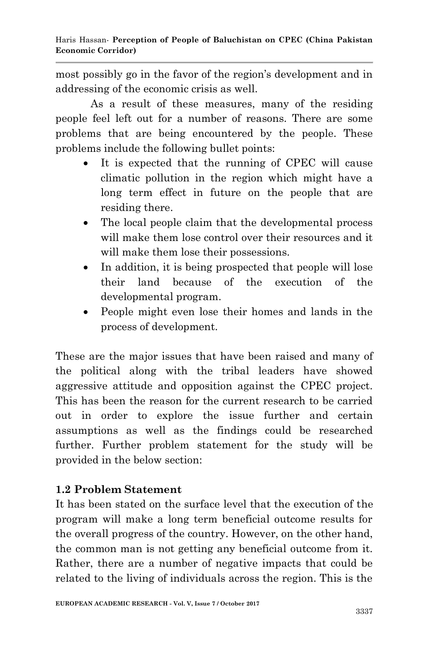most possibly go in the favor of the region"s development and in addressing of the economic crisis as well.

As a result of these measures, many of the residing people feel left out for a number of reasons. There are some problems that are being encountered by the people. These problems include the following bullet points:

- It is expected that the running of CPEC will cause climatic pollution in the region which might have a long term effect in future on the people that are residing there.
- The local people claim that the developmental process will make them lose control over their resources and it will make them lose their possessions.
- In addition, it is being prospected that people will lose their land because of the execution of the developmental program.
- People might even lose their homes and lands in the process of development.

These are the major issues that have been raised and many of the political along with the tribal leaders have showed aggressive attitude and opposition against the CPEC project. This has been the reason for the current research to be carried out in order to explore the issue further and certain assumptions as well as the findings could be researched further. Further problem statement for the study will be provided in the below section:

# **1.2 Problem Statement**

It has been stated on the surface level that the execution of the program will make a long term beneficial outcome results for the overall progress of the country. However, on the other hand, the common man is not getting any beneficial outcome from it. Rather, there are a number of negative impacts that could be related to the living of individuals across the region. This is the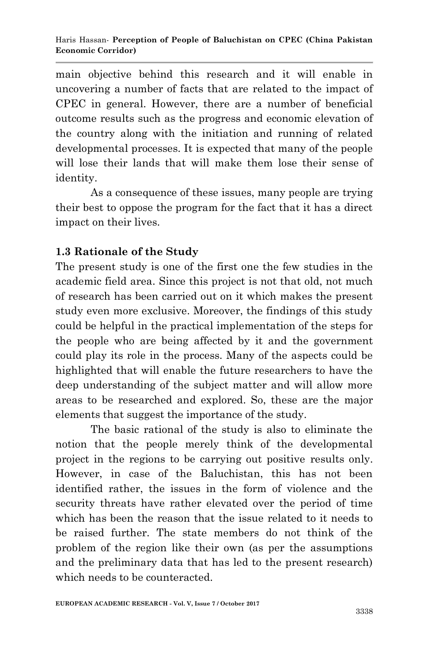main objective behind this research and it will enable in uncovering a number of facts that are related to the impact of CPEC in general. However, there are a number of beneficial outcome results such as the progress and economic elevation of the country along with the initiation and running of related developmental processes. It is expected that many of the people will lose their lands that will make them lose their sense of identity.

As a consequence of these issues, many people are trying their best to oppose the program for the fact that it has a direct impact on their lives.

## **1.3 Rationale of the Study**

The present study is one of the first one the few studies in the academic field area. Since this project is not that old, not much of research has been carried out on it which makes the present study even more exclusive. Moreover, the findings of this study could be helpful in the practical implementation of the steps for the people who are being affected by it and the government could play its role in the process. Many of the aspects could be highlighted that will enable the future researchers to have the deep understanding of the subject matter and will allow more areas to be researched and explored. So, these are the major elements that suggest the importance of the study.

The basic rational of the study is also to eliminate the notion that the people merely think of the developmental project in the regions to be carrying out positive results only. However, in case of the Baluchistan, this has not been identified rather, the issues in the form of violence and the security threats have rather elevated over the period of time which has been the reason that the issue related to it needs to be raised further. The state members do not think of the problem of the region like their own (as per the assumptions and the preliminary data that has led to the present research) which needs to be counteracted.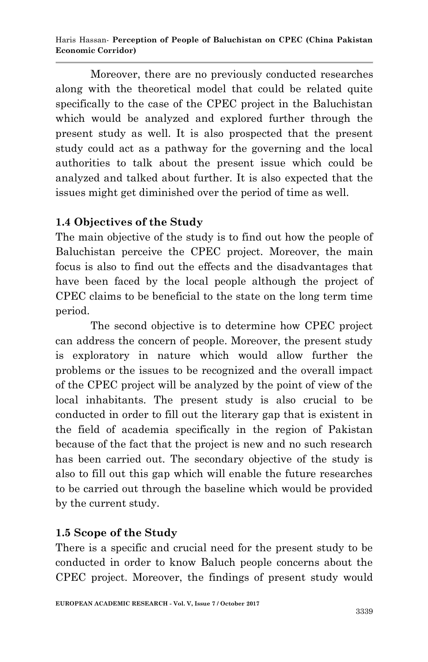Haris Hassan*-* **Perception of People of Baluchistan on CPEC (China Pakistan Economic Corridor)**

Moreover, there are no previously conducted researches along with the theoretical model that could be related quite specifically to the case of the CPEC project in the Baluchistan which would be analyzed and explored further through the present study as well. It is also prospected that the present study could act as a pathway for the governing and the local authorities to talk about the present issue which could be analyzed and talked about further. It is also expected that the issues might get diminished over the period of time as well.

#### **1.4 Objectives of the Study**

The main objective of the study is to find out how the people of Baluchistan perceive the CPEC project. Moreover, the main focus is also to find out the effects and the disadvantages that have been faced by the local people although the project of CPEC claims to be beneficial to the state on the long term time period.

The second objective is to determine how CPEC project can address the concern of people. Moreover, the present study is exploratory in nature which would allow further the problems or the issues to be recognized and the overall impact of the CPEC project will be analyzed by the point of view of the local inhabitants. The present study is also crucial to be conducted in order to fill out the literary gap that is existent in the field of academia specifically in the region of Pakistan because of the fact that the project is new and no such research has been carried out. The secondary objective of the study is also to fill out this gap which will enable the future researches to be carried out through the baseline which would be provided by the current study.

# **1.5 Scope of the Study**

There is a specific and crucial need for the present study to be conducted in order to know Baluch people concerns about the CPEC project. Moreover, the findings of present study would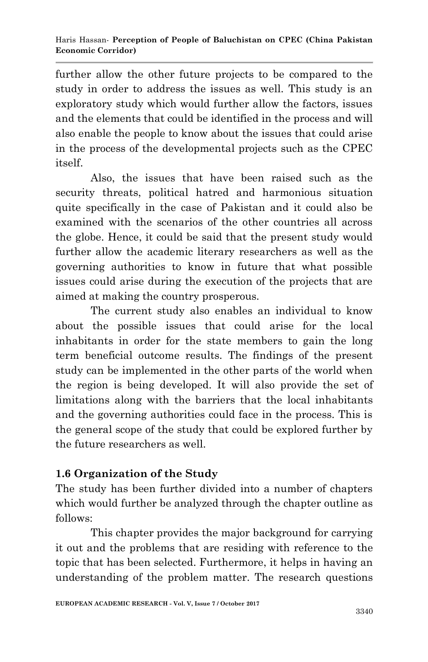further allow the other future projects to be compared to the study in order to address the issues as well. This study is an exploratory study which would further allow the factors, issues and the elements that could be identified in the process and will also enable the people to know about the issues that could arise in the process of the developmental projects such as the CPEC itself.

Also, the issues that have been raised such as the security threats, political hatred and harmonious situation quite specifically in the case of Pakistan and it could also be examined with the scenarios of the other countries all across the globe. Hence, it could be said that the present study would further allow the academic literary researchers as well as the governing authorities to know in future that what possible issues could arise during the execution of the projects that are aimed at making the country prosperous.

The current study also enables an individual to know about the possible issues that could arise for the local inhabitants in order for the state members to gain the long term beneficial outcome results. The findings of the present study can be implemented in the other parts of the world when the region is being developed. It will also provide the set of limitations along with the barriers that the local inhabitants and the governing authorities could face in the process. This is the general scope of the study that could be explored further by the future researchers as well.

# **1.6 Organization of the Study**

The study has been further divided into a number of chapters which would further be analyzed through the chapter outline as follows:

This chapter provides the major background for carrying it out and the problems that are residing with reference to the topic that has been selected. Furthermore, it helps in having an understanding of the problem matter. The research questions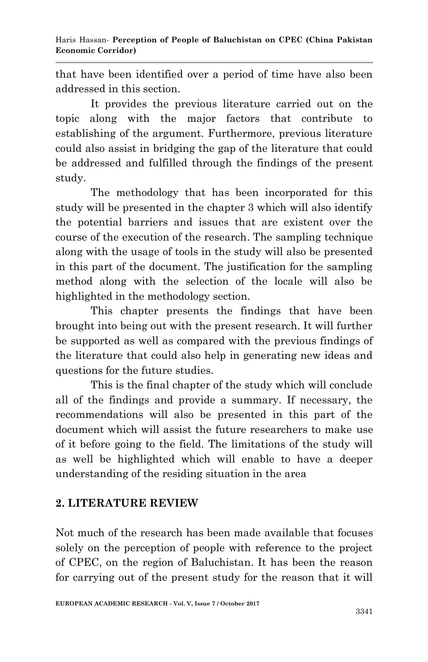that have been identified over a period of time have also been addressed in this section.

It provides the previous literature carried out on the topic along with the major factors that contribute to establishing of the argument. Furthermore, previous literature could also assist in bridging the gap of the literature that could be addressed and fulfilled through the findings of the present study.

The methodology that has been incorporated for this study will be presented in the chapter 3 which will also identify the potential barriers and issues that are existent over the course of the execution of the research. The sampling technique along with the usage of tools in the study will also be presented in this part of the document. The justification for the sampling method along with the selection of the locale will also be highlighted in the methodology section.

This chapter presents the findings that have been brought into being out with the present research. It will further be supported as well as compared with the previous findings of the literature that could also help in generating new ideas and questions for the future studies.

This is the final chapter of the study which will conclude all of the findings and provide a summary. If necessary, the recommendations will also be presented in this part of the document which will assist the future researchers to make use of it before going to the field. The limitations of the study will as well be highlighted which will enable to have a deeper understanding of the residing situation in the area

# **2. LITERATURE REVIEW**

Not much of the research has been made available that focuses solely on the perception of people with reference to the project of CPEC, on the region of Baluchistan. It has been the reason for carrying out of the present study for the reason that it will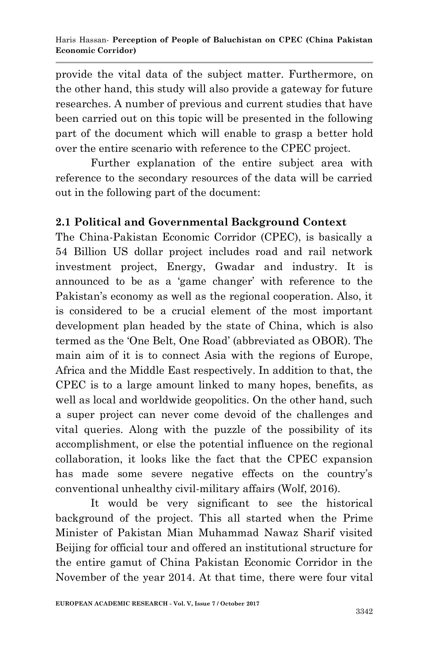provide the vital data of the subject matter. Furthermore, on the other hand, this study will also provide a gateway for future researches. A number of previous and current studies that have been carried out on this topic will be presented in the following part of the document which will enable to grasp a better hold over the entire scenario with reference to the CPEC project.

Further explanation of the entire subject area with reference to the secondary resources of the data will be carried out in the following part of the document:

#### **2.1 Political and Governmental Background Context**

The China-Pakistan Economic Corridor (CPEC), is basically a 54 Billion US dollar project includes road and rail network investment project, Energy, Gwadar and industry. It is announced to be as a "game changer" with reference to the Pakistan's economy as well as the regional cooperation. Also, it is considered to be a crucial element of the most important development plan headed by the state of China, which is also termed as the "One Belt, One Road" (abbreviated as OBOR). The main aim of it is to connect Asia with the regions of Europe, Africa and the Middle East respectively. In addition to that, the CPEC is to a large amount linked to many hopes, benefits, as well as local and worldwide geopolitics. On the other hand, such a super project can never come devoid of the challenges and vital queries. Along with the puzzle of the possibility of its accomplishment, or else the potential influence on the regional collaboration, it looks like the fact that the CPEC expansion has made some severe negative effects on the country's conventional unhealthy civil-military affairs (Wolf, 2016).

It would be very significant to see the historical background of the project. This all started when the Prime Minister of Pakistan Mian Muhammad Nawaz Sharif visited Beijing for official tour and offered an institutional structure for the entire gamut of China Pakistan Economic Corridor in the November of the year 2014. At that time, there were four vital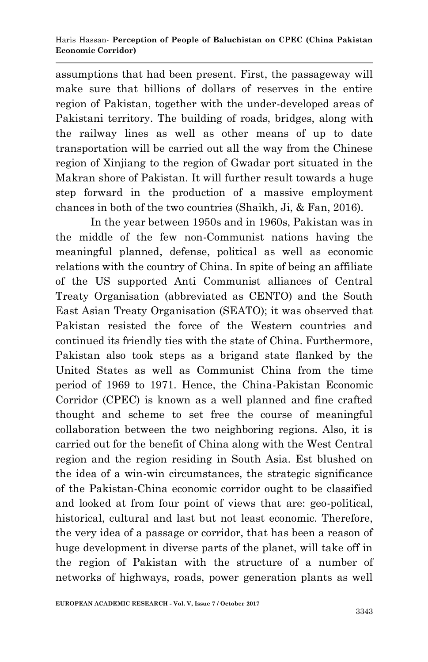assumptions that had been present. First, the passageway will make sure that billions of dollars of reserves in the entire region of Pakistan, together with the under-developed areas of Pakistani territory. The building of roads, bridges, along with the railway lines as well as other means of up to date transportation will be carried out all the way from the Chinese region of Xinjiang to the region of Gwadar port situated in the Makran shore of Pakistan. It will further result towards a huge step forward in the production of a massive employment chances in both of the two countries (Shaikh, Ji, & Fan, 2016).

In the year between 1950s and in 1960s, Pakistan was in the middle of the few non-Communist nations having the meaningful planned, defense, political as well as economic relations with the country of China. In spite of being an affiliate of the US supported Anti Communist alliances of Central Treaty Organisation (abbreviated as CENTO) and the South East Asian Treaty Organisation (SEATO); it was observed that Pakistan resisted the force of the Western countries and continued its friendly ties with the state of China. Furthermore, Pakistan also took steps as a brigand state flanked by the United States as well as Communist China from the time period of 1969 to 1971. Hence, the China-Pakistan Economic Corridor (CPEC) is known as a well planned and fine crafted thought and scheme to set free the course of meaningful collaboration between the two neighboring regions. Also, it is carried out for the benefit of China along with the West Central region and the region residing in South Asia. Est blushed on the idea of a win-win circumstances, the strategic significance of the Pakistan-China economic corridor ought to be classified and looked at from four point of views that are: geo-political, historical, cultural and last but not least economic. Therefore, the very idea of a passage or corridor, that has been a reason of huge development in diverse parts of the planet, will take off in the region of Pakistan with the structure of a number of networks of highways, roads, power generation plants as well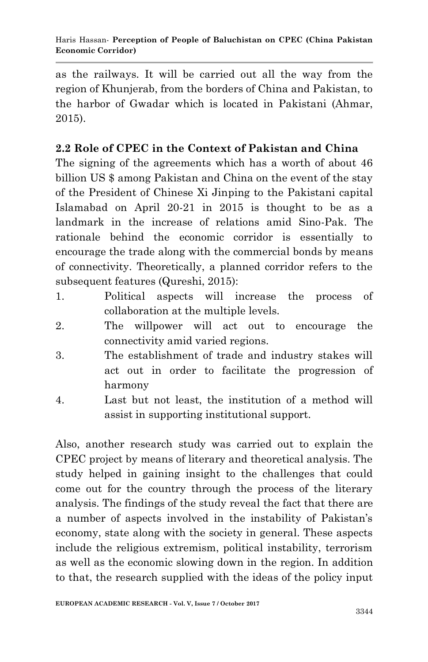as the railways. It will be carried out all the way from the region of Khunjerab, from the borders of China and Pakistan, to the harbor of Gwadar which is located in Pakistani (Ahmar, 2015).

# **2.2 Role of CPEC in the Context of Pakistan and China**

The signing of the agreements which has a worth of about 46 billion US \$ among Pakistan and China on the event of the stay of the President of Chinese Xi Jinping to the Pakistani capital Islamabad on April 20-21 in 2015 is thought to be as a landmark in the increase of relations amid Sino-Pak. The rationale behind the economic corridor is essentially to encourage the trade along with the commercial bonds by means of connectivity. Theoretically, a planned corridor refers to the subsequent features (Qureshi, 2015):

- 1. Political aspects will increase the process of collaboration at the multiple levels.
- 2. The willpower will act out to encourage the connectivity amid varied regions.
- 3. The establishment of trade and industry stakes will act out in order to facilitate the progression of harmony
- 4. Last but not least, the institution of a method will assist in supporting institutional support.

Also, another research study was carried out to explain the CPEC project by means of literary and theoretical analysis. The study helped in gaining insight to the challenges that could come out for the country through the process of the literary analysis. The findings of the study reveal the fact that there are a number of aspects involved in the instability of Pakistan"s economy, state along with the society in general. These aspects include the religious extremism, political instability, terrorism as well as the economic slowing down in the region. In addition to that, the research supplied with the ideas of the policy input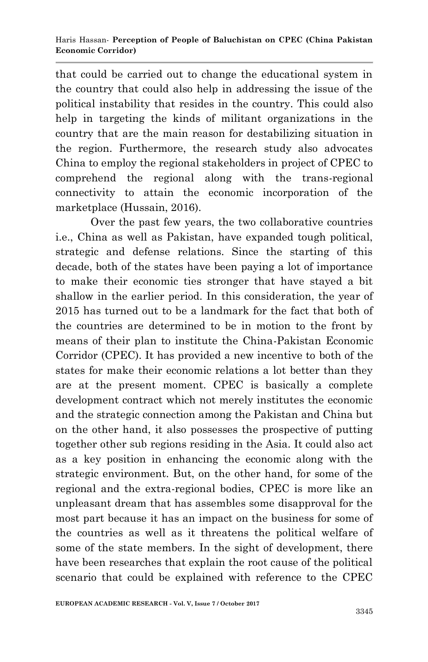that could be carried out to change the educational system in the country that could also help in addressing the issue of the political instability that resides in the country. This could also help in targeting the kinds of militant organizations in the country that are the main reason for destabilizing situation in the region. Furthermore, the research study also advocates China to employ the regional stakeholders in project of CPEC to comprehend the regional along with the trans-regional connectivity to attain the economic incorporation of the marketplace (Hussain, 2016).

Over the past few years, the two collaborative countries i.e., China as well as Pakistan, have expanded tough political, strategic and defense relations. Since the starting of this decade, both of the states have been paying a lot of importance to make their economic ties stronger that have stayed a bit shallow in the earlier period. In this consideration, the year of 2015 has turned out to be a landmark for the fact that both of the countries are determined to be in motion to the front by means of their plan to institute the China-Pakistan Economic Corridor (CPEC). It has provided a new incentive to both of the states for make their economic relations a lot better than they are at the present moment. CPEC is basically a complete development contract which not merely institutes the economic and the strategic connection among the Pakistan and China but on the other hand, it also possesses the prospective of putting together other sub regions residing in the Asia. It could also act as a key position in enhancing the economic along with the strategic environment. But, on the other hand, for some of the regional and the extra-regional bodies, CPEC is more like an unpleasant dream that has assembles some disapproval for the most part because it has an impact on the business for some of the countries as well as it threatens the political welfare of some of the state members. In the sight of development, there have been researches that explain the root cause of the political scenario that could be explained with reference to the CPEC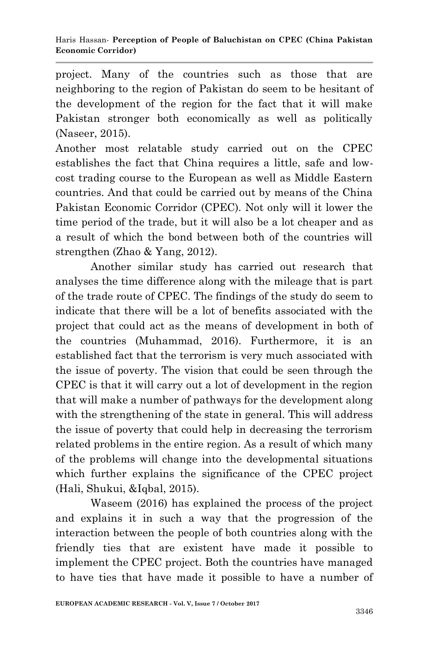project. Many of the countries such as those that are neighboring to the region of Pakistan do seem to be hesitant of the development of the region for the fact that it will make Pakistan stronger both economically as well as politically (Naseer, 2015).

Another most relatable study carried out on the CPEC establishes the fact that China requires a little, safe and lowcost trading course to the European as well as Middle Eastern countries. And that could be carried out by means of the China Pakistan Economic Corridor (CPEC). Not only will it lower the time period of the trade, but it will also be a lot cheaper and as a result of which the bond between both of the countries will strengthen (Zhao & Yang, 2012).

Another similar study has carried out research that analyses the time difference along with the mileage that is part of the trade route of CPEC. The findings of the study do seem to indicate that there will be a lot of benefits associated with the project that could act as the means of development in both of the countries (Muhammad, 2016). Furthermore, it is an established fact that the terrorism is very much associated with the issue of poverty. The vision that could be seen through the CPEC is that it will carry out a lot of development in the region that will make a number of pathways for the development along with the strengthening of the state in general. This will address the issue of poverty that could help in decreasing the terrorism related problems in the entire region. As a result of which many of the problems will change into the developmental situations which further explains the significance of the CPEC project (Hali, Shukui, &Iqbal, 2015).

Waseem (2016) has explained the process of the project and explains it in such a way that the progression of the interaction between the people of both countries along with the friendly ties that are existent have made it possible to implement the CPEC project. Both the countries have managed to have ties that have made it possible to have a number of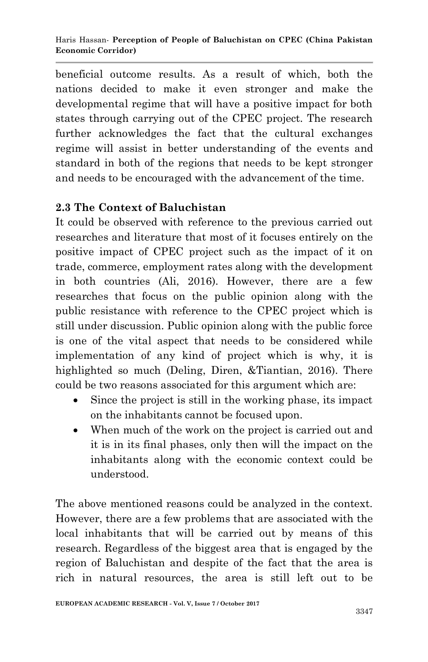beneficial outcome results. As a result of which, both the nations decided to make it even stronger and make the developmental regime that will have a positive impact for both states through carrying out of the CPEC project. The research further acknowledges the fact that the cultural exchanges regime will assist in better understanding of the events and standard in both of the regions that needs to be kept stronger and needs to be encouraged with the advancement of the time.

## **2.3 The Context of Baluchistan**

It could be observed with reference to the previous carried out researches and literature that most of it focuses entirely on the positive impact of CPEC project such as the impact of it on trade, commerce, employment rates along with the development in both countries (Ali, 2016). However, there are a few researches that focus on the public opinion along with the public resistance with reference to the CPEC project which is still under discussion. Public opinion along with the public force is one of the vital aspect that needs to be considered while implementation of any kind of project which is why, it is highlighted so much (Deling, Diren, &Tiantian, 2016). There could be two reasons associated for this argument which are:

- Since the project is still in the working phase, its impact on the inhabitants cannot be focused upon.
- When much of the work on the project is carried out and it is in its final phases, only then will the impact on the inhabitants along with the economic context could be understood.

The above mentioned reasons could be analyzed in the context. However, there are a few problems that are associated with the local inhabitants that will be carried out by means of this research. Regardless of the biggest area that is engaged by the region of Baluchistan and despite of the fact that the area is rich in natural resources, the area is still left out to be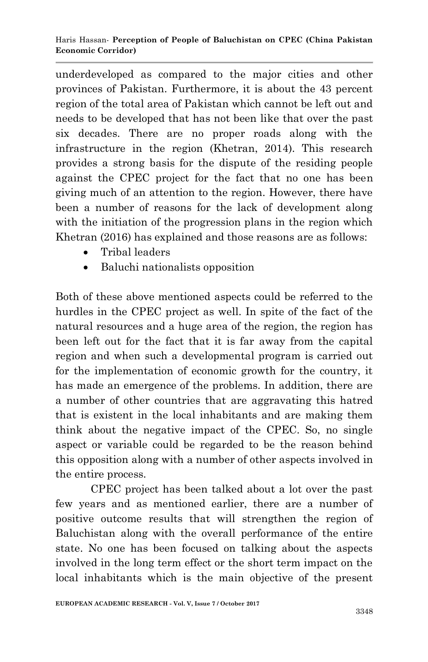underdeveloped as compared to the major cities and other provinces of Pakistan. Furthermore, it is about the 43 percent region of the total area of Pakistan which cannot be left out and needs to be developed that has not been like that over the past six decades. There are no proper roads along with the infrastructure in the region (Khetran, 2014). This research provides a strong basis for the dispute of the residing people against the CPEC project for the fact that no one has been giving much of an attention to the region. However, there have been a number of reasons for the lack of development along with the initiation of the progression plans in the region which Khetran (2016) has explained and those reasons are as follows:

- Tribal leaders
- Baluchi nationalists opposition

Both of these above mentioned aspects could be referred to the hurdles in the CPEC project as well. In spite of the fact of the natural resources and a huge area of the region, the region has been left out for the fact that it is far away from the capital region and when such a developmental program is carried out for the implementation of economic growth for the country, it has made an emergence of the problems. In addition, there are a number of other countries that are aggravating this hatred that is existent in the local inhabitants and are making them think about the negative impact of the CPEC. So, no single aspect or variable could be regarded to be the reason behind this opposition along with a number of other aspects involved in the entire process.

CPEC project has been talked about a lot over the past few years and as mentioned earlier, there are a number of positive outcome results that will strengthen the region of Baluchistan along with the overall performance of the entire state. No one has been focused on talking about the aspects involved in the long term effect or the short term impact on the local inhabitants which is the main objective of the present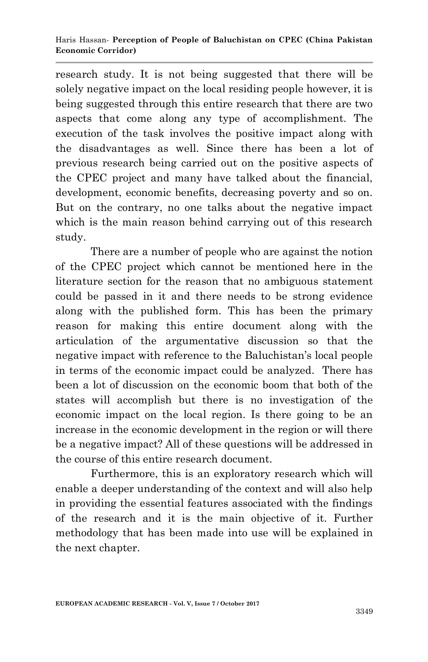research study. It is not being suggested that there will be solely negative impact on the local residing people however, it is being suggested through this entire research that there are two aspects that come along any type of accomplishment. The execution of the task involves the positive impact along with the disadvantages as well. Since there has been a lot of previous research being carried out on the positive aspects of the CPEC project and many have talked about the financial, development, economic benefits, decreasing poverty and so on. But on the contrary, no one talks about the negative impact which is the main reason behind carrying out of this research study.

There are a number of people who are against the notion of the CPEC project which cannot be mentioned here in the literature section for the reason that no ambiguous statement could be passed in it and there needs to be strong evidence along with the published form. This has been the primary reason for making this entire document along with the articulation of the argumentative discussion so that the negative impact with reference to the Baluchistan"s local people in terms of the economic impact could be analyzed. There has been a lot of discussion on the economic boom that both of the states will accomplish but there is no investigation of the economic impact on the local region. Is there going to be an increase in the economic development in the region or will there be a negative impact? All of these questions will be addressed in the course of this entire research document.

Furthermore, this is an exploratory research which will enable a deeper understanding of the context and will also help in providing the essential features associated with the findings of the research and it is the main objective of it. Further methodology that has been made into use will be explained in the next chapter.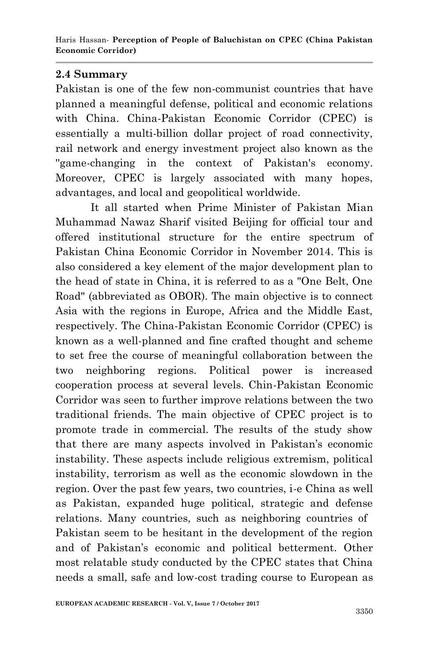#### **2.4 Summary**

Pakistan is one of the few non-communist countries that have planned a meaningful defense, political and economic relations with China. China-Pakistan Economic Corridor (CPEC) is essentially a multi-billion dollar project of road connectivity, rail network and energy investment project also known as the "game-changing in the context of Pakistan's economy. Moreover, CPEC is largely associated with many hopes, advantages, and local and geopolitical worldwide.

It all started when Prime Minister of Pakistan Mian Muhammad Nawaz Sharif visited Beijing for official tour and offered institutional structure for the entire spectrum of Pakistan China Economic Corridor in November 2014. This is also considered a key element of the major development plan to the head of state in China, it is referred to as a "One Belt, One Road" (abbreviated as OBOR). The main objective is to connect Asia with the regions in Europe, Africa and the Middle East, respectively. The China-Pakistan Economic Corridor (CPEC) is known as a well-planned and fine crafted thought and scheme to set free the course of meaningful collaboration between the two neighboring regions. Political power is increased cooperation process at several levels. Chin-Pakistan Economic Corridor was seen to further improve relations between the two traditional friends. The main objective of CPEC project is to promote trade in commercial. The results of the study show that there are many aspects involved in Pakistan"s economic instability. These aspects include religious extremism, political instability, terrorism as well as the economic slowdown in the region. Over the past few years, two countries, i-e China as well as Pakistan, expanded huge political, strategic and defense relations. Many countries, such as neighboring countries of Pakistan seem to be hesitant in the development of the region and of Pakistan"s economic and political betterment. Other most relatable study conducted by the CPEC states that China needs a small, safe and low-cost trading course to European as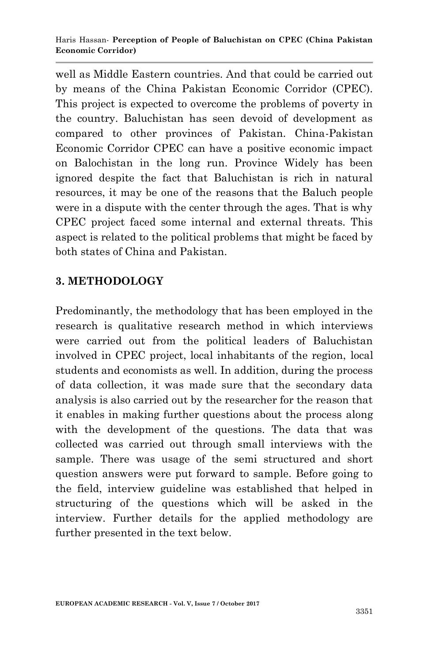well as Middle Eastern countries. And that could be carried out by means of the China Pakistan Economic Corridor (CPEC). This project is expected to overcome the problems of poverty in the country. Baluchistan has seen devoid of development as compared to other provinces of Pakistan. China-Pakistan Economic Corridor CPEC can have a positive economic impact on Balochistan in the long run. Province Widely has been ignored despite the fact that Baluchistan is rich in natural resources, it may be one of the reasons that the Baluch people were in a dispute with the center through the ages. That is why CPEC project faced some internal and external threats. This aspect is related to the political problems that might be faced by both states of China and Pakistan.

# **3. METHODOLOGY**

Predominantly, the methodology that has been employed in the research is qualitative research method in which interviews were carried out from the political leaders of Baluchistan involved in CPEC project, local inhabitants of the region, local students and economists as well. In addition, during the process of data collection, it was made sure that the secondary data analysis is also carried out by the researcher for the reason that it enables in making further questions about the process along with the development of the questions. The data that was collected was carried out through small interviews with the sample. There was usage of the semi structured and short question answers were put forward to sample. Before going to the field, interview guideline was established that helped in structuring of the questions which will be asked in the interview. Further details for the applied methodology are further presented in the text below.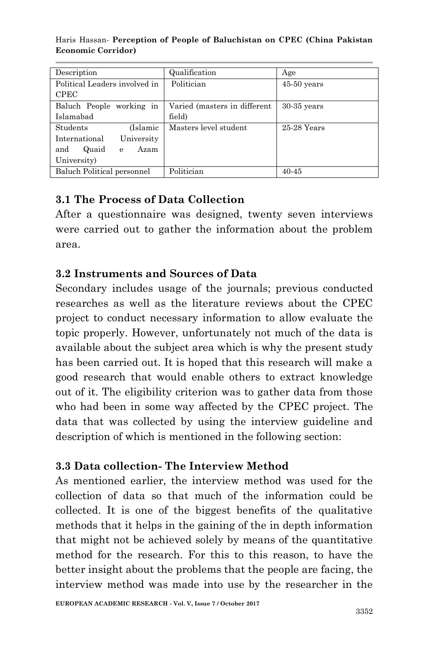| Description                   | Qualification                | Age           |
|-------------------------------|------------------------------|---------------|
| Political Leaders involved in | Politician                   | $45-50$ years |
| <b>CPEC</b>                   |                              |               |
| Baluch People working in      | Varied (masters in different | $30-35$ years |
| Islamabad                     | field)                       |               |
| (Islamic<br><b>Students</b>   | Masters level student        | 25-28 Years   |
| University<br>International   |                              |               |
| and<br>Quaid<br>Azam<br>e     |                              |               |
| University)                   |                              |               |
| Baluch Political personnel    | Politician                   | 40-45         |

#### Haris Hassan*-* **Perception of People of Baluchistan on CPEC (China Pakistan Economic Corridor)**

# **3.1 The Process of Data Collection**

After a questionnaire was designed, twenty seven interviews were carried out to gather the information about the problem area.

# **3.2 Instruments and Sources of Data**

Secondary includes usage of the journals; previous conducted researches as well as the literature reviews about the CPEC project to conduct necessary information to allow evaluate the topic properly. However, unfortunately not much of the data is available about the subject area which is why the present study has been carried out. It is hoped that this research will make a good research that would enable others to extract knowledge out of it. The eligibility criterion was to gather data from those who had been in some way affected by the CPEC project. The data that was collected by using the interview guideline and description of which is mentioned in the following section:

# **3.3 Data collection- The Interview Method**

As mentioned earlier, the interview method was used for the collection of data so that much of the information could be collected. It is one of the biggest benefits of the qualitative methods that it helps in the gaining of the in depth information that might not be achieved solely by means of the quantitative method for the research. For this to this reason, to have the better insight about the problems that the people are facing, the interview method was made into use by the researcher in the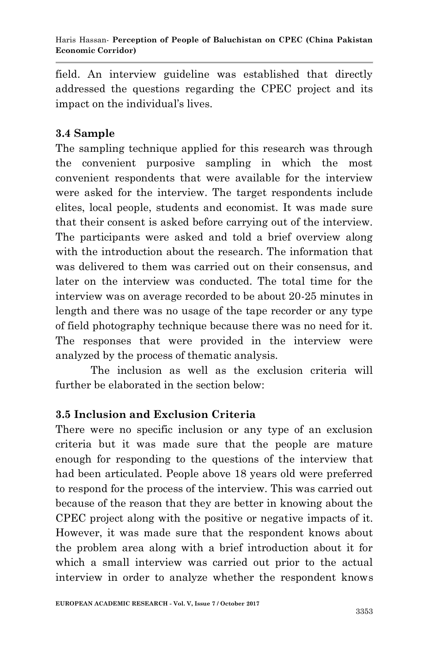field. An interview guideline was established that directly addressed the questions regarding the CPEC project and its impact on the individual"s lives.

# **3.4 Sample**

The sampling technique applied for this research was through the convenient purposive sampling in which the most convenient respondents that were available for the interview were asked for the interview. The target respondents include elites, local people, students and economist. It was made sure that their consent is asked before carrying out of the interview. The participants were asked and told a brief overview along with the introduction about the research. The information that was delivered to them was carried out on their consensus, and later on the interview was conducted. The total time for the interview was on average recorded to be about 20-25 minutes in length and there was no usage of the tape recorder or any type of field photography technique because there was no need for it. The responses that were provided in the interview were analyzed by the process of thematic analysis.

The inclusion as well as the exclusion criteria will further be elaborated in the section below:

# **3.5 Inclusion and Exclusion Criteria**

There were no specific inclusion or any type of an exclusion criteria but it was made sure that the people are mature enough for responding to the questions of the interview that had been articulated. People above 18 years old were preferred to respond for the process of the interview. This was carried out because of the reason that they are better in knowing about the CPEC project along with the positive or negative impacts of it. However, it was made sure that the respondent knows about the problem area along with a brief introduction about it for which a small interview was carried out prior to the actual interview in order to analyze whether the respondent knows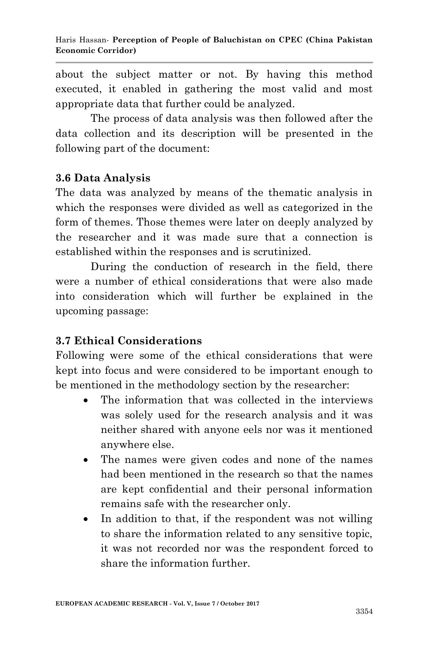about the subject matter or not. By having this method executed, it enabled in gathering the most valid and most appropriate data that further could be analyzed.

The process of data analysis was then followed after the data collection and its description will be presented in the following part of the document:

#### **3.6 Data Analysis**

The data was analyzed by means of the thematic analysis in which the responses were divided as well as categorized in the form of themes. Those themes were later on deeply analyzed by the researcher and it was made sure that a connection is established within the responses and is scrutinized.

During the conduction of research in the field, there were a number of ethical considerations that were also made into consideration which will further be explained in the upcoming passage:

#### **3.7 Ethical Considerations**

Following were some of the ethical considerations that were kept into focus and were considered to be important enough to be mentioned in the methodology section by the researcher:

- The information that was collected in the interviews was solely used for the research analysis and it was neither shared with anyone eels nor was it mentioned anywhere else.
- The names were given codes and none of the names had been mentioned in the research so that the names are kept confidential and their personal information remains safe with the researcher only.
- In addition to that, if the respondent was not willing to share the information related to any sensitive topic, it was not recorded nor was the respondent forced to share the information further.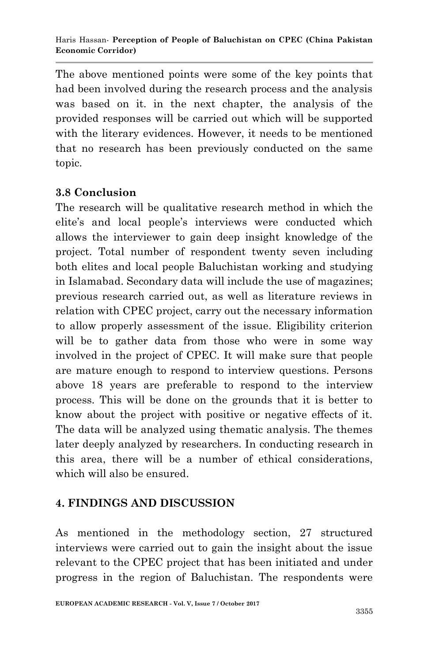The above mentioned points were some of the key points that had been involved during the research process and the analysis was based on it. in the next chapter, the analysis of the provided responses will be carried out which will be supported with the literary evidences. However, it needs to be mentioned that no research has been previously conducted on the same topic.

# **3.8 Conclusion**

The research will be qualitative research method in which the elite's and local people's interviews were conducted which allows the interviewer to gain deep insight knowledge of the project. Total number of respondent twenty seven including both elites and local people Baluchistan working and studying in Islamabad. Secondary data will include the use of magazines; previous research carried out, as well as literature reviews in relation with CPEC project, carry out the necessary information to allow properly assessment of the issue. Eligibility criterion will be to gather data from those who were in some way involved in the project of CPEC. It will make sure that people are mature enough to respond to interview questions. Persons above 18 years are preferable to respond to the interview process. This will be done on the grounds that it is better to know about the project with positive or negative effects of it. The data will be analyzed using thematic analysis. The themes later deeply analyzed by researchers. In conducting research in this area, there will be a number of ethical considerations, which will also be ensured.

# **4. FINDINGS AND DISCUSSION**

As mentioned in the methodology section, 27 structured interviews were carried out to gain the insight about the issue relevant to the CPEC project that has been initiated and under progress in the region of Baluchistan. The respondents were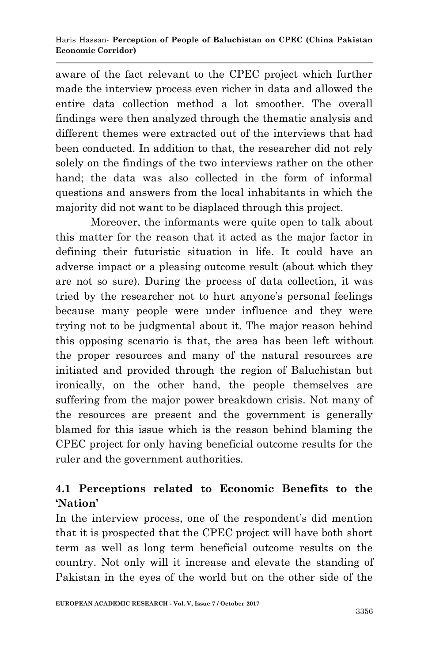aware of the fact relevant to the CPEC project which further made the interview process even richer in data and allowed the entire data collection method a lot smoother. The overall findings were then analyzed through the thematic analysis and different themes were extracted out of the interviews that had been conducted. In addition to that, the researcher did not rely solely on the findings of the two interviews rather on the other hand; the data was also collected in the form of informal questions and answers from the local inhabitants in which the majority did not want to be displaced through this project.

Moreover, the informants were quite open to talk about this matter for the reason that it acted as the major factor in defining their futuristic situation in life. It could have an adverse impact or a pleasing outcome result (about which they are not so sure). During the process of data collection, it was tried by the researcher not to hurt anyone's personal feelings because many people were under influence and they were trying not to be judgmental about it. The major reason behind this opposing scenario is that, the area has been left without the proper resources and many of the natural resources are initiated and provided through the region of Baluchistan but ironically, on the other hand, the people themselves are suffering from the major power breakdown crisis. Not many of the resources are present and the government is generally blamed for this issue which is the reason behind blaming the CPEC project for only having beneficial outcome results for the ruler and the government authorities.

# **4.1 Perceptions related to Economic Benefits to the 'Nation'**

In the interview process, one of the respondent's did mention that it is prospected that the CPEC project will have both short term as well as long term beneficial outcome results on the country. Not only will it increase and elevate the standing of Pakistan in the eyes of the world but on the other side of the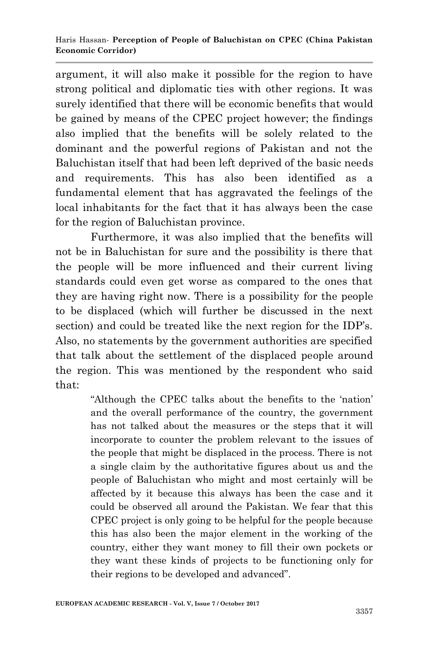argument, it will also make it possible for the region to have strong political and diplomatic ties with other regions. It was surely identified that there will be economic benefits that would be gained by means of the CPEC project however; the findings also implied that the benefits will be solely related to the dominant and the powerful regions of Pakistan and not the Baluchistan itself that had been left deprived of the basic needs and requirements. This has also been identified as a fundamental element that has aggravated the feelings of the local inhabitants for the fact that it has always been the case for the region of Baluchistan province.

Furthermore, it was also implied that the benefits will not be in Baluchistan for sure and the possibility is there that the people will be more influenced and their current living standards could even get worse as compared to the ones that they are having right now. There is a possibility for the people to be displaced (which will further be discussed in the next section) and could be treated like the next region for the IDP's. Also, no statements by the government authorities are specified that talk about the settlement of the displaced people around the region. This was mentioned by the respondent who said that:

> "Although the CPEC talks about the benefits to the "nation" and the overall performance of the country, the government has not talked about the measures or the steps that it will incorporate to counter the problem relevant to the issues of the people that might be displaced in the process. There is not a single claim by the authoritative figures about us and the people of Baluchistan who might and most certainly will be affected by it because this always has been the case and it could be observed all around the Pakistan. We fear that this CPEC project is only going to be helpful for the people because this has also been the major element in the working of the country, either they want money to fill their own pockets or they want these kinds of projects to be functioning only for their regions to be developed and advanced".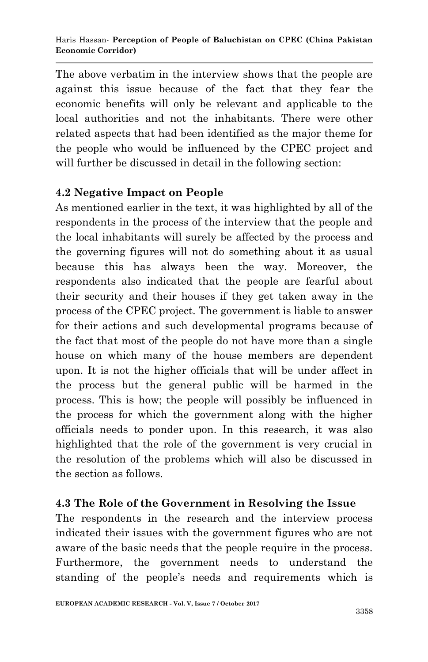The above verbatim in the interview shows that the people are against this issue because of the fact that they fear the economic benefits will only be relevant and applicable to the local authorities and not the inhabitants. There were other related aspects that had been identified as the major theme for the people who would be influenced by the CPEC project and will further be discussed in detail in the following section:

## **4.2 Negative Impact on People**

As mentioned earlier in the text, it was highlighted by all of the respondents in the process of the interview that the people and the local inhabitants will surely be affected by the process and the governing figures will not do something about it as usual because this has always been the way. Moreover, the respondents also indicated that the people are fearful about their security and their houses if they get taken away in the process of the CPEC project. The government is liable to answer for their actions and such developmental programs because of the fact that most of the people do not have more than a single house on which many of the house members are dependent upon. It is not the higher officials that will be under affect in the process but the general public will be harmed in the process. This is how; the people will possibly be influenced in the process for which the government along with the higher officials needs to ponder upon. In this research, it was also highlighted that the role of the government is very crucial in the resolution of the problems which will also be discussed in the section as follows.

# **4.3 The Role of the Government in Resolving the Issue**

The respondents in the research and the interview process indicated their issues with the government figures who are not aware of the basic needs that the people require in the process. Furthermore, the government needs to understand the standing of the people's needs and requirements which is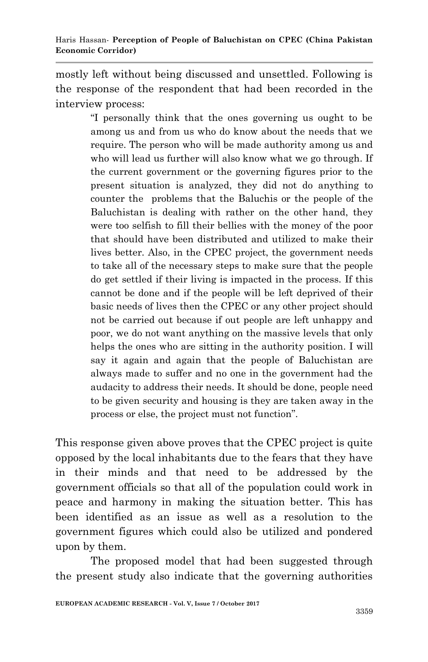mostly left without being discussed and unsettled. Following is the response of the respondent that had been recorded in the interview process:

> "I personally think that the ones governing us ought to be among us and from us who do know about the needs that we require. The person who will be made authority among us and who will lead us further will also know what we go through. If the current government or the governing figures prior to the present situation is analyzed, they did not do anything to counter the problems that the Baluchis or the people of the Baluchistan is dealing with rather on the other hand, they were too selfish to fill their bellies with the money of the poor that should have been distributed and utilized to make their lives better. Also, in the CPEC project, the government needs to take all of the necessary steps to make sure that the people do get settled if their living is impacted in the process. If this cannot be done and if the people will be left deprived of their basic needs of lives then the CPEC or any other project should not be carried out because if out people are left unhappy and poor, we do not want anything on the massive levels that only helps the ones who are sitting in the authority position. I will say it again and again that the people of Baluchistan are always made to suffer and no one in the government had the audacity to address their needs. It should be done, people need to be given security and housing is they are taken away in the process or else, the project must not function".

This response given above proves that the CPEC project is quite opposed by the local inhabitants due to the fears that they have in their minds and that need to be addressed by the government officials so that all of the population could work in peace and harmony in making the situation better. This has been identified as an issue as well as a resolution to the government figures which could also be utilized and pondered upon by them.

The proposed model that had been suggested through the present study also indicate that the governing authorities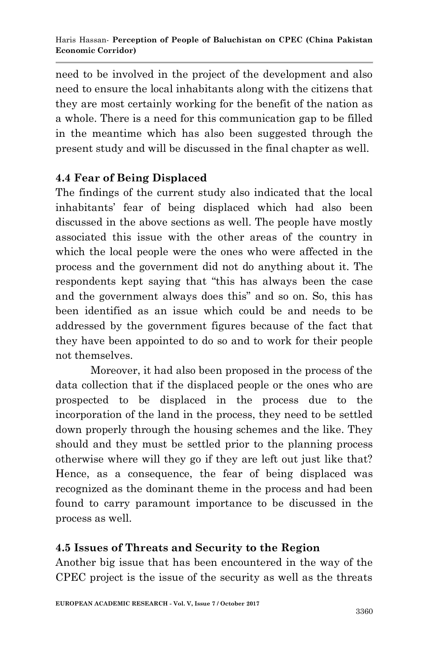need to be involved in the project of the development and also need to ensure the local inhabitants along with the citizens that they are most certainly working for the benefit of the nation as a whole. There is a need for this communication gap to be filled in the meantime which has also been suggested through the present study and will be discussed in the final chapter as well.

# **4.4 Fear of Being Displaced**

The findings of the current study also indicated that the local inhabitants" fear of being displaced which had also been discussed in the above sections as well. The people have mostly associated this issue with the other areas of the country in which the local people were the ones who were affected in the process and the government did not do anything about it. The respondents kept saying that "this has always been the case and the government always does this" and so on. So, this has been identified as an issue which could be and needs to be addressed by the government figures because of the fact that they have been appointed to do so and to work for their people not themselves.

Moreover, it had also been proposed in the process of the data collection that if the displaced people or the ones who are prospected to be displaced in the process due to the incorporation of the land in the process, they need to be settled down properly through the housing schemes and the like. They should and they must be settled prior to the planning process otherwise where will they go if they are left out just like that? Hence, as a consequence, the fear of being displaced was recognized as the dominant theme in the process and had been found to carry paramount importance to be discussed in the process as well.

# **4.5 Issues of Threats and Security to the Region**

Another big issue that has been encountered in the way of the CPEC project is the issue of the security as well as the threats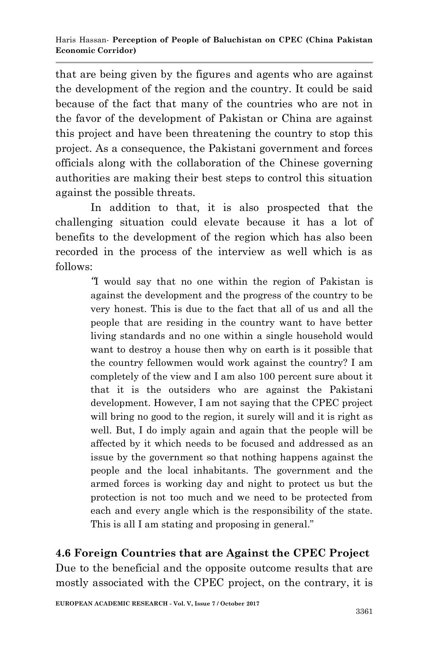that are being given by the figures and agents who are against the development of the region and the country. It could be said because of the fact that many of the countries who are not in the favor of the development of Pakistan or China are against this project and have been threatening the country to stop this project. As a consequence, the Pakistani government and forces officials along with the collaboration of the Chinese governing authorities are making their best steps to control this situation against the possible threats.

In addition to that, it is also prospected that the challenging situation could elevate because it has a lot of benefits to the development of the region which has also been recorded in the process of the interview as well which is as follows:

> *"*I would say that no one within the region of Pakistan is against the development and the progress of the country to be very honest. This is due to the fact that all of us and all the people that are residing in the country want to have better living standards and no one within a single household would want to destroy a house then why on earth is it possible that the country fellowmen would work against the country? I am completely of the view and I am also 100 percent sure about it that it is the outsiders who are against the Pakistani development. However, I am not saying that the CPEC project will bring no good to the region, it surely will and it is right as well. But, I do imply again and again that the people will be affected by it which needs to be focused and addressed as an issue by the government so that nothing happens against the people and the local inhabitants. The government and the armed forces is working day and night to protect us but the protection is not too much and we need to be protected from each and every angle which is the responsibility of the state. This is all I am stating and proposing in general."

**4.6 Foreign Countries that are Against the CPEC Project** Due to the beneficial and the opposite outcome results that are mostly associated with the CPEC project, on the contrary, it is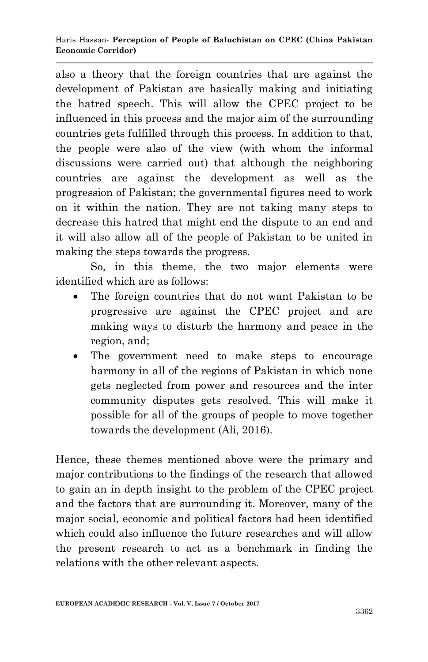also a theory that the foreign countries that are against the development of Pakistan are basically making and initiating the hatred speech. This will allow the CPEC project to be influenced in this process and the major aim of the surrounding countries gets fulfilled through this process. In addition to that, the people were also of the view (with whom the informal discussions were carried out) that although the neighboring countries are against the development as well as the progression of Pakistan; the governmental figures need to work on it within the nation. They are not taking many steps to decrease this hatred that might end the dispute to an end and it will also allow all of the people of Pakistan to be united in making the steps towards the progress.

So, in this theme, the two major elements were identified which are as follows:

- The foreign countries that do not want Pakistan to be progressive are against the CPEC project and are making ways to disturb the harmony and peace in the region, and;
- The government need to make steps to encourage harmony in all of the regions of Pakistan in which none gets neglected from power and resources and the inter community disputes gets resolved. This will make it possible for all of the groups of people to move together towards the development (Ali, 2016).

Hence, these themes mentioned above were the primary and major contributions to the findings of the research that allowed to gain an in depth insight to the problem of the CPEC project and the factors that are surrounding it. Moreover, many of the major social, economic and political factors had been identified which could also influence the future researches and will allow the present research to act as a benchmark in finding the relations with the other relevant aspects.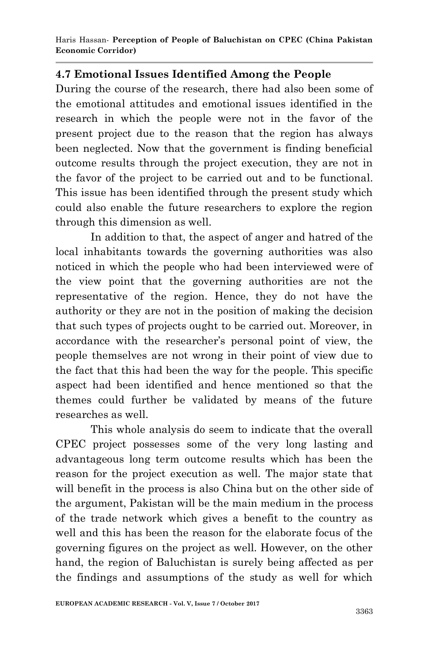## **4.7 Emotional Issues Identified Among the People**

During the course of the research, there had also been some of the emotional attitudes and emotional issues identified in the research in which the people were not in the favor of the present project due to the reason that the region has always been neglected. Now that the government is finding beneficial outcome results through the project execution, they are not in the favor of the project to be carried out and to be functional. This issue has been identified through the present study which could also enable the future researchers to explore the region through this dimension as well.

In addition to that, the aspect of anger and hatred of the local inhabitants towards the governing authorities was also noticed in which the people who had been interviewed were of the view point that the governing authorities are not the representative of the region. Hence, they do not have the authority or they are not in the position of making the decision that such types of projects ought to be carried out. Moreover, in accordance with the researcher"s personal point of view, the people themselves are not wrong in their point of view due to the fact that this had been the way for the people. This specific aspect had been identified and hence mentioned so that the themes could further be validated by means of the future researches as well.

This whole analysis do seem to indicate that the overall CPEC project possesses some of the very long lasting and advantageous long term outcome results which has been the reason for the project execution as well. The major state that will benefit in the process is also China but on the other side of the argument, Pakistan will be the main medium in the process of the trade network which gives a benefit to the country as well and this has been the reason for the elaborate focus of the governing figures on the project as well. However, on the other hand, the region of Baluchistan is surely being affected as per the findings and assumptions of the study as well for which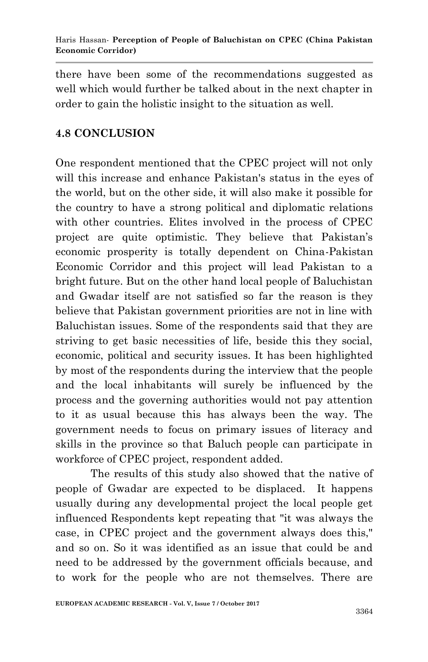there have been some of the recommendations suggested as well which would further be talked about in the next chapter in order to gain the holistic insight to the situation as well.

## **4.8 CONCLUSION**

One respondent mentioned that the CPEC project will not only will this increase and enhance Pakistan's status in the eyes of the world, but on the other side, it will also make it possible for the country to have a strong political and diplomatic relations with other countries. Elites involved in the process of CPEC project are quite optimistic. They believe that Pakistan"s economic prosperity is totally dependent on China-Pakistan Economic Corridor and this project will lead Pakistan to a bright future. But on the other hand local people of Baluchistan and Gwadar itself are not satisfied so far the reason is they believe that Pakistan government priorities are not in line with Baluchistan issues. Some of the respondents said that they are striving to get basic necessities of life, beside this they social, economic, political and security issues. It has been highlighted by most of the respondents during the interview that the people and the local inhabitants will surely be influenced by the process and the governing authorities would not pay attention to it as usual because this has always been the way. The government needs to focus on primary issues of literacy and skills in the province so that Baluch people can participate in workforce of CPEC project, respondent added.

The results of this study also showed that the native of people of Gwadar are expected to be displaced. It happens usually during any developmental project the local people get influenced Respondents kept repeating that "it was always the case, in CPEC project and the government always does this," and so on. So it was identified as an issue that could be and need to be addressed by the government officials because, and to work for the people who are not themselves. There are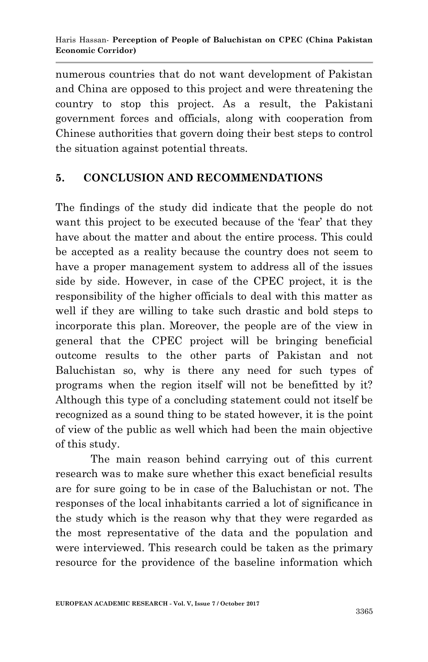numerous countries that do not want development of Pakistan and China are opposed to this project and were threatening the country to stop this project. As a result, the Pakistani government forces and officials, along with cooperation from Chinese authorities that govern doing their best steps to control the situation against potential threats.

## **5. CONCLUSION AND RECOMMENDATIONS**

The findings of the study did indicate that the people do not want this project to be executed because of the 'fear' that they have about the matter and about the entire process. This could be accepted as a reality because the country does not seem to have a proper management system to address all of the issues side by side. However, in case of the CPEC project, it is the responsibility of the higher officials to deal with this matter as well if they are willing to take such drastic and bold steps to incorporate this plan. Moreover, the people are of the view in general that the CPEC project will be bringing beneficial outcome results to the other parts of Pakistan and not Baluchistan so, why is there any need for such types of programs when the region itself will not be benefitted by it? Although this type of a concluding statement could not itself be recognized as a sound thing to be stated however, it is the point of view of the public as well which had been the main objective of this study.

The main reason behind carrying out of this current research was to make sure whether this exact beneficial results are for sure going to be in case of the Baluchistan or not. The responses of the local inhabitants carried a lot of significance in the study which is the reason why that they were regarded as the most representative of the data and the population and were interviewed. This research could be taken as the primary resource for the providence of the baseline information which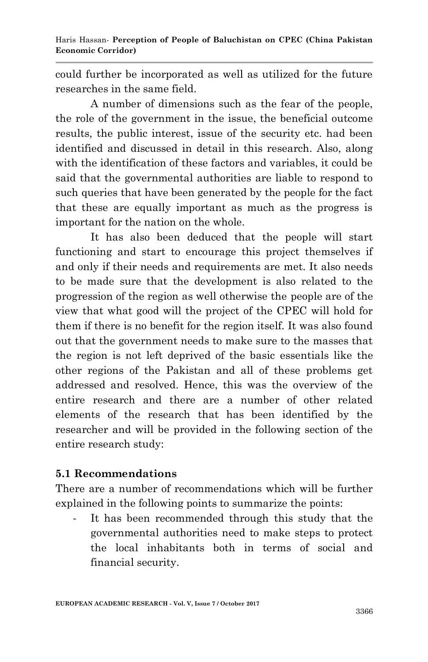could further be incorporated as well as utilized for the future researches in the same field.

A number of dimensions such as the fear of the people, the role of the government in the issue, the beneficial outcome results, the public interest, issue of the security etc. had been identified and discussed in detail in this research. Also, along with the identification of these factors and variables, it could be said that the governmental authorities are liable to respond to such queries that have been generated by the people for the fact that these are equally important as much as the progress is important for the nation on the whole.

It has also been deduced that the people will start functioning and start to encourage this project themselves if and only if their needs and requirements are met. It also needs to be made sure that the development is also related to the progression of the region as well otherwise the people are of the view that what good will the project of the CPEC will hold for them if there is no benefit for the region itself. It was also found out that the government needs to make sure to the masses that the region is not left deprived of the basic essentials like the other regions of the Pakistan and all of these problems get addressed and resolved. Hence, this was the overview of the entire research and there are a number of other related elements of the research that has been identified by the researcher and will be provided in the following section of the entire research study:

#### **5.1 Recommendations**

There are a number of recommendations which will be further explained in the following points to summarize the points:

- It has been recommended through this study that the governmental authorities need to make steps to protect the local inhabitants both in terms of social and financial security.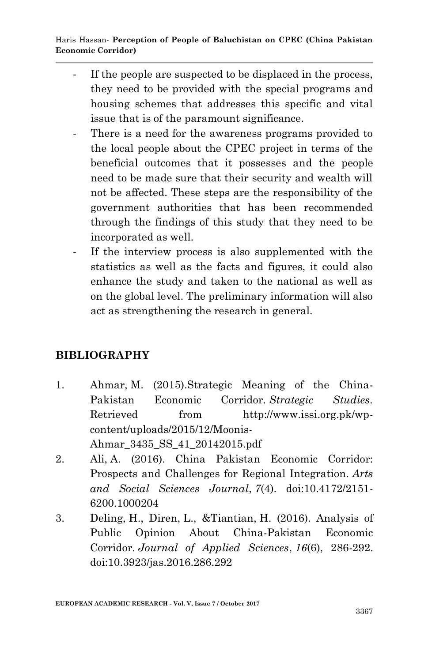- If the people are suspected to be displaced in the process, they need to be provided with the special programs and housing schemes that addresses this specific and vital issue that is of the paramount significance.
- There is a need for the awareness programs provided to the local people about the CPEC project in terms of the beneficial outcomes that it possesses and the people need to be made sure that their security and wealth will not be affected. These steps are the responsibility of the government authorities that has been recommended through the findings of this study that they need to be incorporated as well.
- If the interview process is also supplemented with the statistics as well as the facts and figures, it could also enhance the study and taken to the national as well as on the global level. The preliminary information will also act as strengthening the research in general.

# **BIBLIOGRAPHY**

- 1. Ahmar, M. (2015).Strategic Meaning of the China-Pakistan Economic Corridor. *Strategic Studies*. Retrieved from http://www.issi.org.pk/wpcontent/uploads/2015/12/Moonis-Ahmar\_3435\_SS\_41\_20142015.pdf
- 2. Ali, A. (2016). China Pakistan Economic Corridor: Prospects and Challenges for Regional Integration. *Arts and Social Sciences Journal*, *7*(4). doi:10.4172/2151- 6200.1000204
- 3. Deling, H., Diren, L., &Tiantian, H. (2016). Analysis of Public Opinion About China-Pakistan Economic Corridor. *Journal of Applied Sciences*, *16*(6), 286-292. doi:10.3923/jas.2016.286.292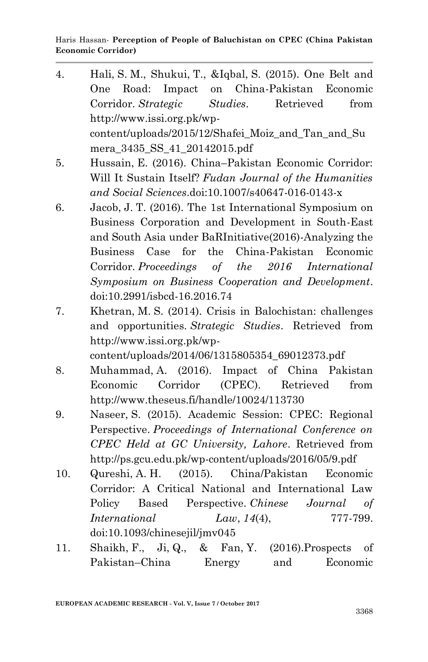- 4. Hali, S. M., Shukui, T., &Iqbal, S. (2015). One Belt and One Road: Impact on China-Pakistan Economic Corridor. *Strategic Studies*. Retrieved from http://www.issi.org.pk/wpcontent/uploads/2015/12/Shafei\_Moiz\_and\_Tan\_and\_Su mera\_3435\_SS\_41\_20142015.pdf
- 5. Hussain, E. (2016). China–Pakistan Economic Corridor: Will It Sustain Itself? *Fudan Journal of the Humanities and Social Sciences*.doi:10.1007/s40647-016-0143-x
- 6. Jacob, J. T. (2016). The 1st International Symposium on Business Corporation and Development in South-East and South Asia under BaRInitiative(2016)-Analyzing the Business Case for the China-Pakistan Economic Corridor. *Proceedings of the 2016 International Symposium on Business Cooperation and Development*. doi:10.2991/isbcd-16.2016.74
- 7. Khetran, M. S. (2014). Crisis in Balochistan: challenges and opportunities. *Strategic Studies*. Retrieved from http://www.issi.org.pk/wp-

content/uploads/2014/06/1315805354\_69012373.pdf

- 8. Muhammad, A. (2016). Impact of China Pakistan Economic Corridor (CPEC). Retrieved from http://www.theseus.fi/handle/10024/113730
- 9. Naseer, S. (2015). Academic Session: CPEC: Regional Perspective. *Proceedings of International Conference on CPEC Held at GC University, Lahore*. Retrieved from http://ps.gcu.edu.pk/wp-content/uploads/2016/05/9.pdf
- 10. Qureshi, A. H. (2015). China/Pakistan Economic Corridor: A Critical National and International Law Policy Based Perspective. *Chinese Journal of International Law*, 14(4), 777-799. doi:10.1093/chinesejil/jmv045
- 11. Shaikh, F., Ji, Q., & Fan, Y. (2016).Prospects of Pakistan–China Energy and Economic